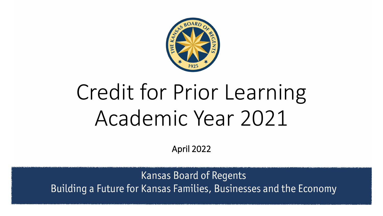

# Credit for Prior Learning Academic Year 2021

April 2022

**Kansas Board of Regents** Building a Future for Kansas Families, Businesses and the Economy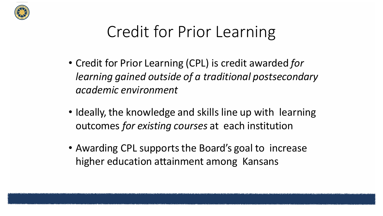

### Credit for Prior Learning

- Credit for Prior Learning (CPL) is credit awarded *for learning gained outside of a traditional postsecondary academic environment*
- Ideally, the knowledge and skills line up with learning outcomes *for existing courses* at each institution
- Awarding CPL supports the Board's goal to increase higher education attainment among Kansans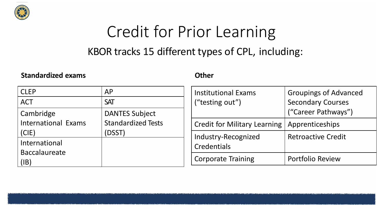

# Credit for Prior Learning

#### KBOR tracks 15 different types of CPL, including:

#### **Standardized exams**

#### **Other**

| <b>CLEP</b><br><b>ACT</b>  | AP<br><b>SAT</b>          | <b>Institutional Exams</b><br>("testing out") | <b>Groupings of Advanced</b><br><b>Secondary Courses</b> |
|----------------------------|---------------------------|-----------------------------------------------|----------------------------------------------------------|
| Cambridge                  | <b>DANTES Subject</b>     |                                               | ("Career Pathways")                                      |
| <b>International Exams</b> | <b>Standardized Tests</b> | Credit for Military Learning                  | Apprenticeships                                          |
| (CIE)                      | (DSST)                    | Industry-Recognized                           | <b>Retroactive Credit</b>                                |
| International              |                           | Credentials                                   |                                                          |
| <b>Baccalaureate</b>       |                           |                                               |                                                          |
| (IB)                       |                           | <b>Corporate Training</b>                     | <b>Portfolio Review</b>                                  |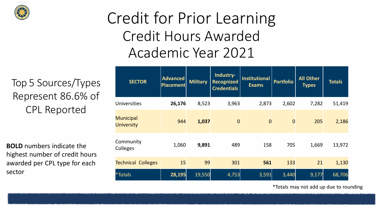

#### Credit for Prior Learning Credit Hours Awarded Academic Year 2021

Top 5 Sources/Types Represent 86.6% of CPL Reported

**BOLD** numbers indicate the highest number of credit hours awarded per CPL type for each sector

| <b>SECTOR</b>                         | <b>Advanced</b><br><b>Placement</b> | <b>Military</b> | Industry-<br><b>Recognized</b><br><b>Credentials</b> | <b>Institutional</b><br><b>Exams</b> | <b>Portfolio</b> | <b>All Other</b><br><b>Types</b> | <b>Totals</b> |
|---------------------------------------|-------------------------------------|-----------------|------------------------------------------------------|--------------------------------------|------------------|----------------------------------|---------------|
| <b>Universities</b>                   | 26,176                              | 8,523           | 3,963                                                | 2,873                                | 2,602            | 7,282                            | 51,419        |
| <b>Municipal</b><br><b>University</b> | 944                                 | 1,037           | $\overline{0}$                                       | $\overline{0}$                       | $\overline{0}$   | 205                              | 2,186         |
| Community<br>Colleges                 | 1,060                               | 9,891           | 489                                                  | 158                                  | 705              | 1,669                            | 13,972        |
| <b>Technical Colleges</b>             | 15                                  | 99              | 301                                                  | 561                                  | 133              | 21                               | 1,130         |
| *Totals                               | 28,195                              | 19,550          | 4,753                                                | 3,591                                | 3,440            | 9,177                            | 68,706        |

\*Totals may not add up due to rounding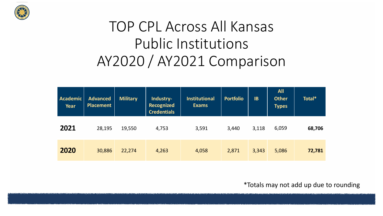

#### TOP CPL Across All Kansas Public Institutions AY2020 / AY2021 Comparison

| <b>Academic</b><br>Year | <b>Advanced</b><br><b>Placement</b> | <b>Military</b> | Industry-<br><b>Recognized</b><br><b>Credentials</b> | <b>Institutional</b><br><b>Exams</b> | <b>Portfolio</b> | <b>IB</b> | <b>All</b><br><b>Other</b><br><b>Types</b> | Total* |
|-------------------------|-------------------------------------|-----------------|------------------------------------------------------|--------------------------------------|------------------|-----------|--------------------------------------------|--------|
| 2021                    | 28,195                              | 19,550          | 4,753                                                | 3,591                                | 3,440            | 3,118     | 6,059                                      | 68,706 |
| 2020                    | 30,886                              | 22,274          | 4,263                                                | 4,058                                | 2,871            | 3,343     | 5,086                                      | 72,781 |

\*Totals may not add up due to rounding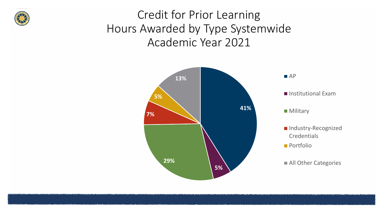

#### Credit for Prior Learning Hours Awarded by Type Systemwide Academic Year 2021

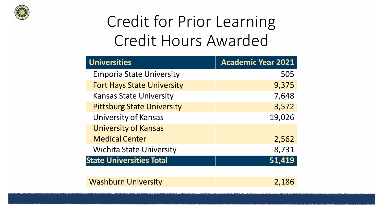

## Credit for Prior Learning Credit Hours Awarded

| <b>Universities</b>               | <b>Academic Year 2021</b> |
|-----------------------------------|---------------------------|
| <b>Emporia State University</b>   | 505                       |
| <b>Fort Hays State University</b> | 9,375                     |
| <b>Kansas State University</b>    | 7,648                     |
| <b>Pittsburg State University</b> | 3,572                     |
| <b>University of Kansas</b>       | 19,026                    |
| <b>University of Kansas</b>       |                           |
| <b>Medical Center</b>             | 2,562                     |
| <b>Wichita State University</b>   | 8,731                     |
| <b>State Universities Total</b>   | 51,419                    |
|                                   |                           |
| <b>Washburn University</b>        | 2,186                     |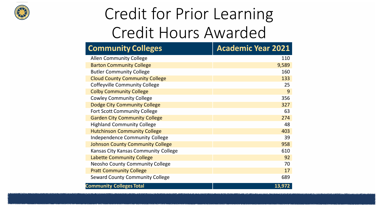

### Credit for Prior Learning Credit Hours Awarded

| <b>Community Colleges</b>               | <b>Academic Year 2021</b> |
|-----------------------------------------|---------------------------|
| <b>Allen Community College</b>          | 110                       |
| <b>Barton Community College</b>         | 9,589                     |
| <b>Butler Community College</b>         | 160                       |
| <b>Cloud County Community College</b>   | 133                       |
| <b>Coffeyville Community College</b>    | 25                        |
| <b>Colby Community College</b>          | 9                         |
| <b>Cowley Community College</b>         | 356                       |
| <b>Dodge City Community College</b>     | 327                       |
| <b>Fort Scott Community College</b>     | 63                        |
| <b>Garden City Community College</b>    | 274                       |
| <b>Highland Community College</b>       | 48                        |
| <b>Hutchinson Community College</b>     | 403                       |
| <b>Independence Community College</b>   | 39                        |
| <b>Johnson County Community College</b> | 958                       |
| Kansas City Kansas Community College    | 610                       |
| <b>Labette Community College</b>        | 92                        |
| <b>Neosho County Community College</b>  | 70                        |
| <b>Pratt Community College</b>          | 17                        |
| <b>Seward County Community College</b>  | 689                       |
| <b>Community Colleges Total</b>         | 13,972                    |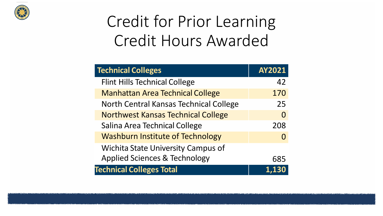

## Credit for Prior Learning Credit Hours Awarded

| <b>Technical Colleges</b>                 | <b>AY2021</b> |
|-------------------------------------------|---------------|
| <b>Flint Hills Technical College</b>      | 42            |
| <b>Manhattan Area Technical College</b>   | 170           |
| North Central Kansas Technical College    | 25            |
| <b>Northwest Kansas Technical College</b> | 0             |
| Salina Area Technical College             | 208           |
| <b>Washburn Institute of Technology</b>   | $\Omega$      |
| <b>Wichita State University Campus of</b> |               |
| <b>Applied Sciences &amp; Technology</b>  | 685           |
| <b>Technical Colleges Total</b>           |               |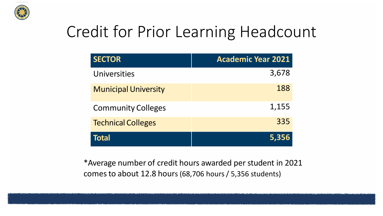

#### Credit for Prior Learning Headcount

| <b>SECTOR</b>               | <b>Academic Year 2021</b> |
|-----------------------------|---------------------------|
| Universities                | 3,678                     |
| <b>Municipal University</b> | 188                       |
| <b>Community Colleges</b>   | 1,155                     |
| <b>Technical Colleges</b>   | 335                       |
| <b>Total</b>                | 5,356                     |

\*Average number of credit hours awarded per student in 2021 comes to about 12.8 hours (68,706 hours / 5,356 students)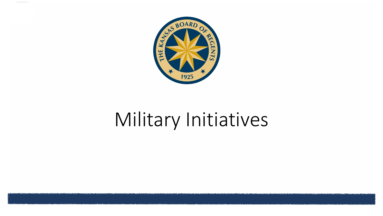

# Military Initiatives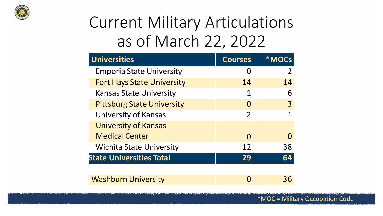

### Current Military Articulations as of March 22, 2022

| <b>Universities</b>               | <b>Courses</b> | <b>*MOCs</b> |
|-----------------------------------|----------------|--------------|
| <b>Emporia State University</b>   |                |              |
| <b>Fort Hays State University</b> | 14             | 14           |
| <b>Kansas State University</b>    | 1              | 6            |
| <b>Pittsburg State University</b> | $\Omega$       | 3            |
| <b>University of Kansas</b>       | 2              |              |
| <b>University of Kansas</b>       |                |              |
| <b>Medical Center</b>             | $\Omega$       |              |
| <b>Wichita State University</b>   | 12             | 38           |
| <b>State Universities Total</b>   | 29             | 64           |
|                                   |                |              |
| <b>Washburn University</b>        |                | 36           |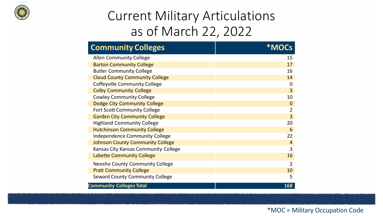

#### Current Military Articulations as of March 22, 2022

| <b>Community Colleges</b>               |                |
|-----------------------------------------|----------------|
| <b>Allen Community College</b>          | 15             |
| <b>Barton Community College</b>         | 17             |
| <b>Butler Community College</b>         | 16             |
| <b>Cloud County Community College</b>   | 14             |
| <b>Coffeyville Community College</b>    | $\mathbf 0$    |
| <b>Colby Community College</b>          | 3              |
| <b>Cowley Community College</b>         | 10             |
| <b>Dodge City Community College</b>     | $\mathbf 0$    |
| <b>Fort Scott Community College</b>     | $\overline{2}$ |
| <b>Garden City Community College</b>    | $\overline{3}$ |
| <b>Highland Community College</b>       | 20             |
| <b>Hutchinson Community College</b>     | 6              |
| <b>Independence Community College</b>   | 22             |
| <b>Johnson County Community College</b> | $\overline{4}$ |
| Kansas City Kansas Community College    | 3              |
| <b>Labette Community College</b>        | 16             |
| Neosho County Community College         | $\overline{2}$ |
| <b>Pratt Community College</b>          | 10             |
| <b>Seward County Community College</b>  | 5              |
| <b>Community Colleges Total</b>         | 168            |